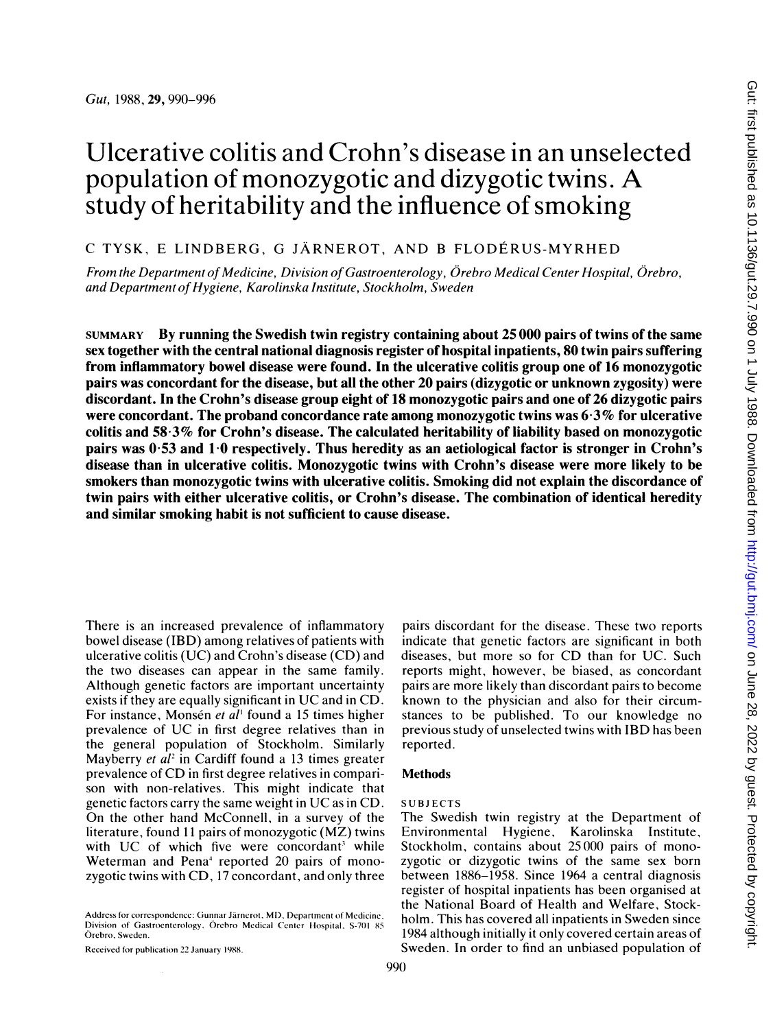# Ulcerative colitis and Crohn's disease in an unselected population of monozygotic and dizygotic twins. A study of heritability and the influence of smoking

# C TYSK, E LINDBERG, G JARNEROT, AND <sup>B</sup> FLODERUS-MYRHED

From the Department of Medicine, Division of Gastroenterology, Orebro Medical Center Hospital, Orebro, and Department of Hygiene, Karolinska Institute, Stockholm, Sweden

SUMMARY By running the Swedish twin registry containing about 25 000 pairs of twins of the same sex together with the central national diagnosis register of hospital inpatients, 80 twin pairs suffering from inflammatory bowel disease were found. In the ulcerative colitis group one of 16 monozygotic pairs was concordant for the disease, but all the other 20 pairs (dizygotic or unknown zygosity) were discordant. In the Crohn's disease group eight of 18 monozygotic pairs and one of 26 dizygotic pairs were concordant. The proband concordance rate among monozygotic twins was 6-3% for ulcerative colitis and 58-3% for Crohn's disease. The calculated heritability of liability based on monozygotic pairs was 0 53 and <sup>1</sup> 0 respectively. Thus heredity as an aetiological factor is stronger in Crohn's disease than in ulcerative colitis. Monozygotic twins with Crohn's disease were more likely to be smokers than monozygotic twins with ulcerative colitis. Smoking did not explain the discordance of twin pairs with either ulcerative colitis, or Crohn's disease. The combination of identical heredity and similar smoking habit is not sufficient to cause disease.

There is an increased prevalence of inflammatory bowel disease (IBD) among relatives of patients with ulcerative colitis (UC) and Crohn's disease (CD) and the two diseases can appear in the same family. Although genetic factors are important uncertainty exists if they are equally significant in UC and in CD. For instance, Monsén et al<sup>1</sup> found a 15 times higher prevalence of UC in first degree relatives than in the general population of Stockholm. Similarly Mayberry *et al*<sup>2</sup> in Cardiff found a 13 times greater prevalence of CD in first degree relatives in comparison with non-relatives. This might indicate that genetic factors carry the same weight in UC as in CD. On the other hand McConnell, in <sup>a</sup> survey of the literature, found <sup>11</sup> pairs of monozygotic (MZ) twins with UC of which five were concordant<sup>3</sup> while Weterman and Pena<sup>4</sup> reported 20 pairs of monozygotic twins with CD, 17 concordant, and only three

Address for correspondence: Gunnar Järnerot, MD, Department of Medicine, Division of Gastroenterology. Örebro Medical Center Hospital, S-701 85 Orebro, Sweden.

Received for publication 22 January 1988.

diseases, but more so for CD than for UC. Such reports might, however, be biased, as concordant pairs are more likely than discordant pairs to become known to the physician and also for their circumstances to be published. To our knowledge no previous study of unselected twins with IBD has been reported. **Methods** 

pairs discordant for the disease. These two reports indicate that genetic factors are significant in both

#### SUBJECTS

The Swedish twin registry at the Department of Environmental Hygiene, Karolinska Institute, Stockholm, contains about 25000 pairs of monozygotic or dizygotic twins of the same sex born between 1886-1958. Since 1964 a central diagnosis register of hospital inpatients has been organised at the National Board of Health and Welfare, Stockholm. This has covered all inpatients in Sweden since 1984 although initially it only covered certain areas of Sweden. In order to find an unbiased population of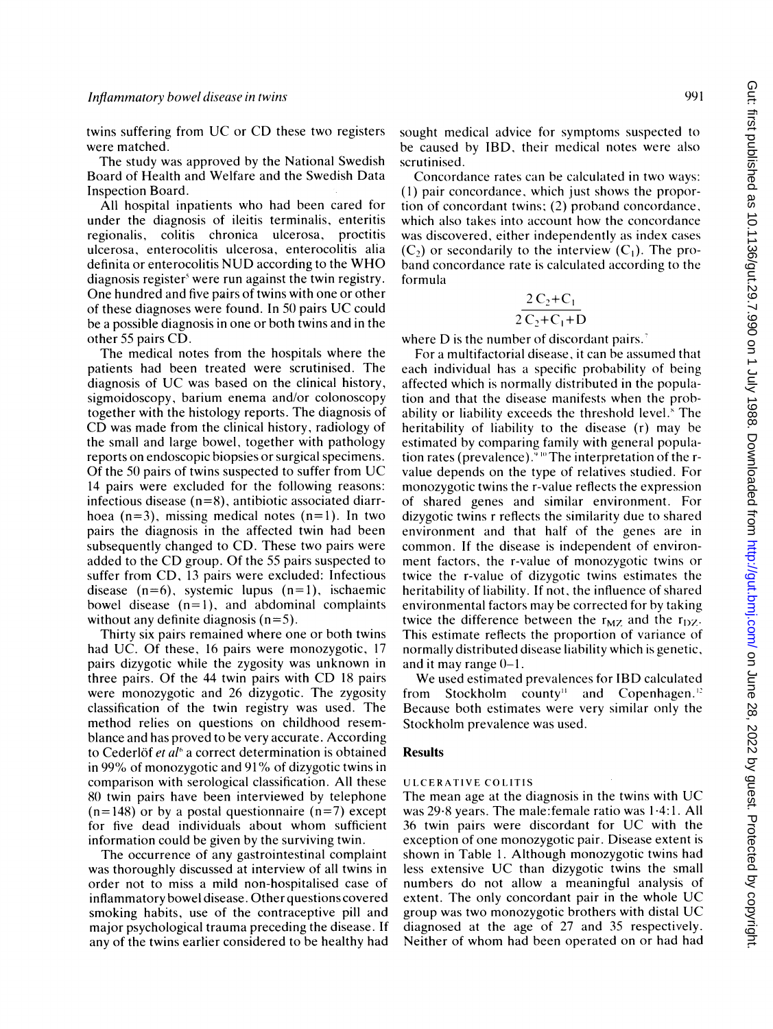twins suffering from UC or CD these two registers were matched.

The study was approved by the National Swedish Board of Health and Welfare and the Swedish Data Inspection Board.

All hospital inpatients who had been cared for under the diagnosis of ileitis terminalis, enteritis regionalis, colitis chronica ulcerosa, proctitis ulcerosa, enterocolitis ulcerosa, enterocolitis alia definita or enterocolitis NUD according to the WHO diagnosis register<sup>s</sup> were run against the twin registry. One hundred and five pairs of twins with one or other of these diagnoses were found. In <sup>50</sup> pairs UC could be a possible diagnosis in one or both twins and in the other 55 pairs CD.

The medical notes from the hospitals where the patients had been treated were scrutinised. The diagnosis of UC was based on the clinical history, sigmoidoscopy, barium enema and/or colonoscopy together with the histology reports. The diagnosis of CD was made from the clinical history, radiology of the small and large bowel, together with pathology reports on endoscopic biopsies or surgical specimens. Of the <sup>50</sup> pairs of twins suspected to suffer from UC 14 pairs were excluded for the following reasons: infectious disease (n=8), antibiotic associated diarrhoea  $(n=3)$ , missing medical notes  $(n=1)$ . In two pairs the diagnosis in the affected twin had been subsequently changed to CD. These two pairs were added to the CD group. Of the <sup>55</sup> pairs suspected to suffer from CD, <sup>13</sup> pairs were excluded: Infectious disease  $(n=6)$ , systemic lupus  $(n=1)$ , ischaemic bowel disease  $(n=1)$ , and abdominal complaints without any definite diagnosis  $(n=5)$ .

Thirty six pairs remained where one or both twins had UC. Of these, 16 pairs were monozygotic, 17 pairs dizygotic while the zygosity was unknown in three pairs. Of the <sup>44</sup> twin pairs with CD <sup>18</sup> pairs were monozygotic and 26 dizygotic. The zygosity classification of the twin registry was used. The method relies on questions on childhood resemblance and has proved to be very accurate. According to Cederlöf et  $al<sup>6</sup>$  a correct determination is obtained in 99% of monozygotic and <sup>91</sup> % of dizygotic twins in comparison with serological classification. All these 80 twin pairs have been interviewed by telephone  $(n=148)$  or by a postal questionnaire  $(n=7)$  except for five dead individuals about whom sufficient information could be given by the surviving twin.

The occurrence of any gastrointestinal complaint was thoroughly discussed at interview of all twins in order not to miss a mild non-hospitalised case of inflammatory bowel disease. Other questions covered smoking habits, use of the contraceptive pill and major psychological trauma preceding the disease. If any of the twins earlier considered to be healthy had sought medical advice for symptoms suspected to be caused by IBD, their medical notes were also scrutinised.

Concordance rates can be calculated in two ways: (1) pair concordance, which just shows the proportion of concordant twins; (2) proband concordance, which also takes into account how the concordance was discovered, either independently as index cases  $(C_2)$  or secondarily to the interview  $(C_1)$ . The proband concordance rate is calculated according to the formula

$$
\frac{2 C_2 + C_1}{2 C_2 + C_1 + D}
$$

where D is the number of discordant pairs.<sup>7</sup>

For a multifactorial disease, it can be assumed that each individual has a specific probability of being affected which is normally distributed in the population and that the disease manifests when the probability or liability exceeds the threshold level.' The heritability of liability to the disease (r) may be estimated by comparing family with general population rates (prevalence)." "'The interpretation of the rvalue depends on the type of relatives studied. For monozygotic twins the r-value reflects the expression of shared genes and similar environment. For dizygotic twins <sup>r</sup> reflects the similarity due to shared environment and that half of the genes are in common. If the disease is independent of environment factors, the r-value of monozygotic twins or twice the r-value of dizygotic twins estimates the heritability of liability. If not, the influence of shared environmental factors may be corrected for by taking twice the difference between the  $r_{MZ}$  and the  $r_{DZ}$ . This estimate reflects the proportion of variance of normally distributed disease liability which is genetic, and it may range 0-1.

We used estimated prevalences for IBD calculated from Stockholm county" and Copenhagen.' Because both estimates were very similar only the Stockholm prevalence was used.

#### Results

#### UL CERATIVE COLITIS

The mean age at the diagnosis in the twins with UC was 29-8 years. The male:female ratio was <sup>1</sup> 4:1. All <sup>36</sup> twin pairs were discordant for UC with the exception of one monozygotic pair. Disease extent is shown in Table 1. Although monozygotic twins had less extensive UC than dizygotic twins the small numbers do not allow a meaningful analysis of extent. The only concordant pair in the whole UC group was two monozygotic brothers with distal UC diagnosed at the age of 27 and 35 respectively. Neither of whom had been operated on or had had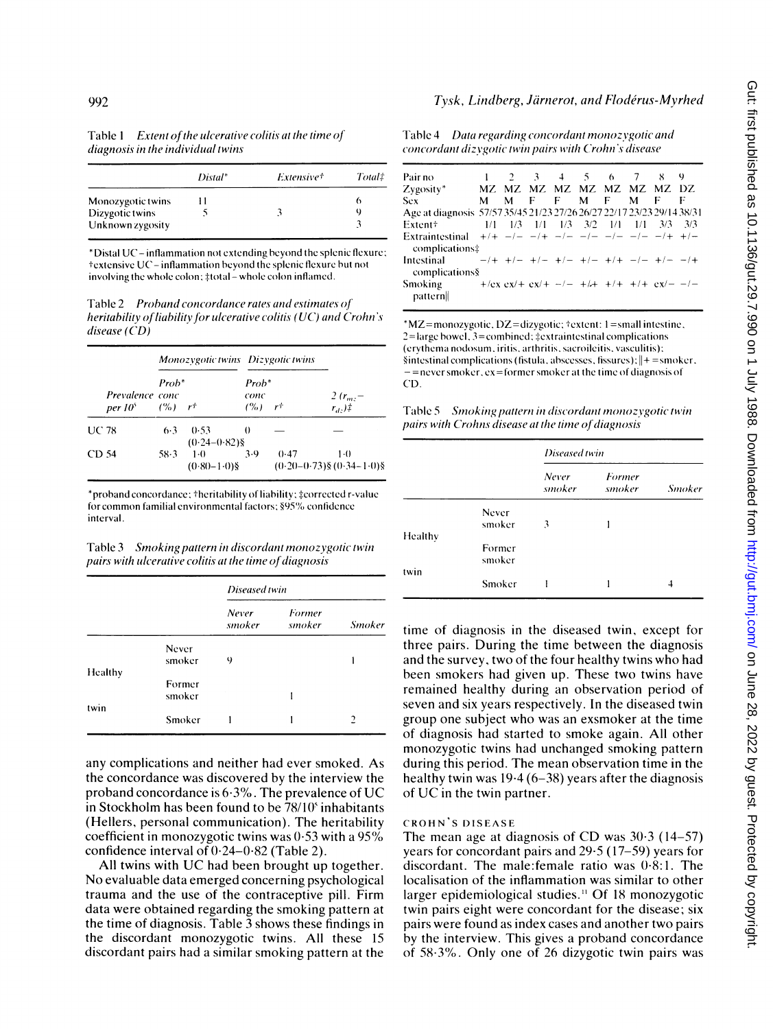| diagnosis in the individual twins |         |            |        |  |  |  |
|-----------------------------------|---------|------------|--------|--|--|--|
|                                   | Distal* | Extensive† | Total‡ |  |  |  |
| Monozygotic twins                 |         |            | o      |  |  |  |
| Dizygotic twins                   |         |            | Q      |  |  |  |
| Unknown zvgosity                  |         |            |        |  |  |  |

Table 1 Extent of the ulcerative colitis at the time of

\*Distal UC- inflammation not cxtcnding bcyond the splenic flcxurc; textensive UC-inflammation beyond the splenic flexure but not involving the whole colon; #total - whole colon inflamed.

Table 2 Proband concordance rates and estimates of heritability of liability for ulcerative colitis ( $UC$ ) and Crohn's disease (CD)

|       |                               | Monozygotic twins Dizygotic twins |                           |                                 |      |                                         |  |
|-------|-------------------------------|-----------------------------------|---------------------------|---------------------------------|------|-----------------------------------------|--|
|       | Prevalence conc<br>$per 10^5$ | Prob*<br>$($ %) $r$ <sup>+</sup>  |                           | $Prob^*$<br>conc<br>$(%)$ $r^+$ |      | $2(r_{m} -$<br>$r_d$ .)#                |  |
| UC 78 |                               | $6-3$                             | 0.53<br>$(0.24 - 0.82)$ § | $_{0}$                          |      |                                         |  |
| CD 54 |                               | 58-3                              | $1-0$<br>$(0.80 - 1.0)$ § | 3.9                             | 0.47 | $1-0$<br>$(0.20-0.73)$ § $(0.34-1.0)$ § |  |

\*proband concordance; +heritability of liability; ‡corrected r-value for common familial environmental factors; §95% confidence interval.

Table 3 Smoking pattern in discordant monozygotic twin pairs with ulcerative colitis at the time of diagnosis

|         |                 | Diseased twin   |                  |               |  |  |
|---------|-----------------|-----------------|------------------|---------------|--|--|
|         |                 | Never<br>smoker | Former<br>smoker | <b>Smoker</b> |  |  |
|         | Never<br>smoker |                 |                  |               |  |  |
| Healthy |                 | 9               |                  |               |  |  |
|         | Former          |                 |                  |               |  |  |
|         | smoker          |                 |                  |               |  |  |
| twin    |                 |                 |                  |               |  |  |
|         | Smoker          |                 |                  | 2             |  |  |

any complications and neither had ever smoked. As the concordance was discovered by the interview the proband concordance is  $6.3\%$ . The prevalence of UC in Stockholm has been found to be  $78/10^s$  inhabitants (Hellers, personal communication). The heritability coefficient in monozygotic twins was 0-53 with <sup>a</sup> 95% confidence interval of 0-24-0-82 (Table 2).

All twins with UC had been brought up together. No evaluable data emerged concerning psychological trauma and the use of the contraceptive pill. Firm data were obtained regarding the smoking pattern at the time of diagnosis. Table 3 shows these findings in the discordant monozygotic twins. All these 15 discordant pairs had a similar smoking pattern at the

# Tysk, Lindberg, Järnerot, and Flodérus-Myrhed

Table 4 Data regarding concordant monozygotic and concordant dizvgotic twin pairs with Crohn's disease

| Pair no                                                                                        |   |  | 1 2 3 4 5 6 7 8 9          |  |  |  |
|------------------------------------------------------------------------------------------------|---|--|----------------------------|--|--|--|
| Zygosity*                                                                                      |   |  | MZ MZ MZ MZ MZ MZ MZ MZ DZ |  |  |  |
| Sex                                                                                            | M |  | MFFMFMFF                   |  |  |  |
| Age at diagnosis 57/57 35/45 21/23 27/26 26/27 22/17 23/23 29/14 38/31                         |   |  |                            |  |  |  |
| 1/1 1/3 1/1 1/3 3/2 1/1 1/1 3/3 3/3<br>Extent+                                                 |   |  |                            |  |  |  |
| Extraintestinal $+/ -/ -/+$ $-/ -/ -/ -/ -/+$ $+/-$                                            |   |  |                            |  |  |  |
| complications:                                                                                 |   |  |                            |  |  |  |
| Intestinal $-/+$ $+/ +/ +/ +/ +/+$ $-/ +/ -/+$<br>complications§                               |   |  |                            |  |  |  |
| Smoking $+/\text{ex } \text{ex}/+ \text{ex}/+ -/- +/\text{+} +/+ +/\text{ex}/- -/-$<br>pattern |   |  |                            |  |  |  |

 $*$ MZ=monozygotic, DZ=dizygotic;  $*$ extent: 1=small intestine,  $2$ =large bowel,  $3$ =combined;  $\ddagger$ extraintestinal complications (crythcima nodostin. iritis. arthritis. sacroileitis. vasculitis);  $\text{Sintestinal complications}$  (fistula, abscesses, fissures);  $\Vert + \text{=smoker.}$  $-$  =never smoker, ex = former smoker at the time of diagnosis of CD.

Table 5 Smoking pattern in discordant monozygotic twin pairs with Crohns disease at the time of diagnosis

|         |                  | Diseased twin   |                  |               |  |
|---------|------------------|-----------------|------------------|---------------|--|
|         |                  | Never<br>smoker | Former<br>smoker | <b>Smoker</b> |  |
| Healthy | Never<br>smoker  | 3               |                  |               |  |
|         | Former<br>smoker |                 |                  |               |  |
| twin    | Smoker           |                 |                  | 4             |  |

time of diagnosis in the diseased twin, except for three pairs. During the time between the diagnosis and the survey, two of the four healthy twins who had been smokers had given up. These two twins have remained healthy during an observation period of seven and six years respectively. In the diseased twin group one subject who was an exsmoker at the time of diagnosis had started to smoke again. All other monozygotic twins had unchanged smoking pattern during this period. The mean observation time in the healthy twin was  $19.4 (6-38)$  years after the diagnosis of UC in the twin partner.

# CROHN'S DISEASE

The mean age at diagnosis of CD was  $30.3$  (14-57) years for concordant pairs and 29-5 (17-59) years for discordant. The male:female ratio was 0-8:1. The localisation of the inflammation was similar to other larger epidemiological studies.'' Of <sup>18</sup> monozygotic twin pairs eight were concordant for the disease; six pairs were found as index cases and another two pairs by the interview. This gives a proband concordance of 583%. Only one of 26 dizygotic twin pairs was

Unknown zygosity <sup>3</sup>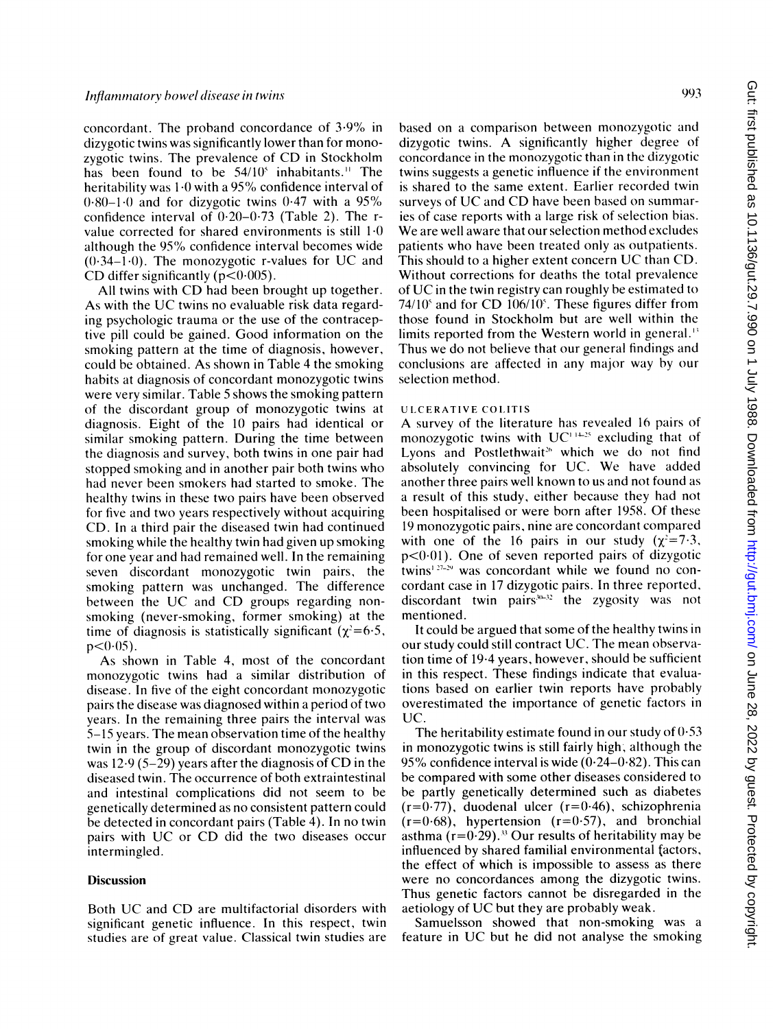concordant. The proband concordance of 3.9% in dizygotic twins was significantly lower than for monozygotic twins. The prevalence of CD in Stockholm has been found to be 54/10<sup>5</sup> inhabitants.<sup>11</sup> The heritability was 1.0 with a 95% confidence interval of  $0.80-1.0$  and for dizygotic twins  $0.47$  with a 95% confidence interval of 0-20-0-73 (Table 2). The rvalue corrected for shared environments is still  $10$ although the 95% confidence interval becomes wide  $(0.34-1.0)$ . The monozygotic r-values for UC and CD differ significantly ( $p < 0.005$ ).

All twins with CD had been brought up together. As with the UC twins no evaluable risk data regarding psychologic trauma or the use of the contraceptive pill could be gained. Good information on the smoking pattern at the time of diagnosis, however, could be obtained. As shown in Table 4 the smoking habits at diagnosis of concordant monozygotic twins were very similar. Table 5 shows the smoking pattern of the discordant group of monozygotic twins at diagnosis. Eight of the 10 pairs had identical or similar smoking pattern. During the time between the diagnosis and survey, both twins in one pair had stopped smoking and in another pair both twins who had never been smokers had started to smoke. The healthy twins in these two pairs have been observed for five and two years respectively without acquiring CD. In a third pair the diseased twin had continued smoking while the healthy twin had given up smoking for one year and had remained well. In the remaining seven discordant monozygotic twin pairs, the smoking pattern was unchanged. The difference between the UC and CD groups regarding nonsmoking (never-smoking, former smoking) at the time of diagnosis is statistically significant ( $\gamma^2$ =6.5,  $p < 0.05$ ).

As shown in Table 4, most of the concordant monozygotic twins had a similar distribution of disease. In five of the eight concordant monozygotic pairs the disease was diagnosed within a period of two years. In the remaining three pairs the interval was 5-15 years. The mean observation time of the healthy twin in the group of discordant monozygotic twins was  $12.9$  (5-29) years after the diagnosis of CD in the diseased twin. The occurrence of both extraintestinal and intestinal complications did not seem to be genetically determined as no consistent pattern could be detected in concordant pairs (Table 4). In no twin pairs with UC or CD did the two diseases occur intermingled.

# **Discussion**

Both UC and CD are multifactorial disorders with significant genetic influence. In this respect, twin studies are of great value. Classical twin studies are

based on a comparison between monozygotic and dizygotic twins. A significantly higher degree of concordance in the monozygotic than in the dizygotic twins suggests a genetic influence if the environment is shared to the same extent. Earlier recorded twin surveys of UC and CD have been based on summaries of case reports with a large risk of selection bias. We are well aware that our selection method excludes patients who have been treated only as outpatients. This should to <sup>a</sup> higher extent concern UC than CD. Without corrections for deaths the total prevalence of UC in the twin registry can roughly be estimated to  $74/10^{\circ}$  and for CD  $106/10^{\circ}$ . These figures differ from those found in Stockholm but are well within the limits reported from the Western world in general.' Thus we do not believe that our general findings and conclusions are affected in any major way by our selection method.

## UlCERATIVE COLITIS

A survey of the literature has revealed <sup>16</sup> pairs of monozygotic twins with  $UC^{1+25}$  excluding that of Lyons and Postlethwait<sup>26</sup> which we do not find absolutely convincing for UC. We have added another three pairs well known to us and not found as a result of this study, either because they had not been hospitalised or were born after 1958. Of these <sup>19</sup> monozygotic pairs, nine are concordant compared with one of the 16 pairs in our study  $(\chi^2=7.3,$  $p<0.01$ ). One of seven reported pairs of dizygotic twins<sup> $127-29$ </sup> was concordant while we found no concordant case in 17 dizygotic pairs. In three reported, discordant twin pairs $x_1 + x_2$  the zygosity was not mentioned.

It could be argued that some of the healthy twins in our study could still contract UC. The mean observation time of 19-4 years, however, should be sufficient in this respect. These findings indicate that evaluations based on earlier twin reports have probably overestimated the importance of genetic factors in UC.

The heritability estimate found in our study of  $0.53$ in monozygotic twins is still fairly high, although the 95% confidence interval is wide  $(0.24-0.82)$ . This can be compared with some other diseases considered to be partly genetically determined such as diabetes  $(r=0.77)$ , duodenal ulcer  $(r=0.46)$ , schizophrenia  $(r=0.68)$ , hypertension  $(r=0.57)$ , and bronchial asthma  $(r=0.29)$ .<sup>33</sup> Our results of heritability may be influenced by shared familial environmental factors, the effect of which is impossible to assess as there were no concordances among the dizygotic twins. Thus genetic factors cannot be disregarded in the aetiology of UC but they are probably weak.

Samuelsson showed that non-smoking was a feature in UC but he did not analyse the smoking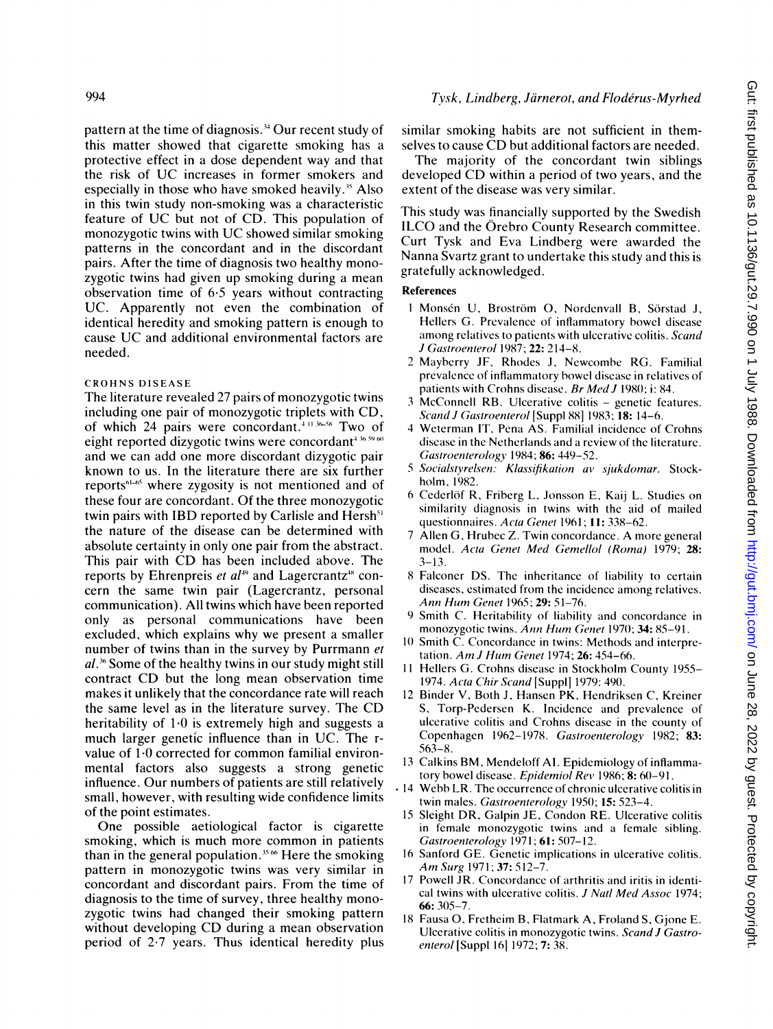pattern at the time of diagnosis.34 Our recent study of this matter showed that cigarette smoking has a protective effect in a dose dependent way and that the risk of UC increases in former smokers and especially in those who have smoked heavily.<sup>35</sup> Also in this twin study non-smoking was a characteristic feature of UC but not of CD. This population of monozygotic twins with UC showed similar smoking patterns in the concordant and in the discordant pairs. After the time of diagnosis two healthy monozygotic twins had given up smoking during a mean observation time of  $6.5$  years without contracting UC. Apparently not even the combination of identical heredity and smoking pattern is enough to cause UC and additional environmental factors are needed.

#### CROHNS DISEASE

 $T_{\text{N}}$   $T_{\text{N}}$  proves the reverse reverse monogygotic twins of  $T_{\text{N}}$ I ne interature revealed  $2/$  pairs of monozygotic twin including one pair of monozygotic triplets with CD. of which 24 pairs were concordant.<sup>411 36-58</sup> Two of eight reported dizygotic twins were concordant<sup>436.59</sup>60 and we can add one more discordant dizygotic pair known to us. In the literature there are six further reports<sup>61-65</sup> where zygosity is not mentioned and of these four are concordant. Of the three monozygotic twin pairs with IBD reported by Carlisle and Hersh<sup>51</sup> the nature of the disease can be determined with absolute certainty in only one pair from the abstract. This pair with CD has been included above. The reports by Ehrenpreis et  $al^{49}$  and Lagercrantz<sup>\*</sup> concern the same twin pair (Lagercrantz, personal communication). All twins which have been reported only as personal communications have been excluded, which explains why we present a smaller number of twins than in the survey by Purrmann et  $al.^{36}$  Some of the healthy twins in our study might still contract CD but the long mean observation time makes it unlikely that the concordance rate will reach the same level as in the literature survey. The CD heritability of  $1.0$  is extremely high and suggests a much larger genetic influence than in UC. The rvalue of  $1.0$  corrected for common familial environmental factors also suggests a strong genetic influence. Our numbers of patients are still relatively small, however, with resulting wide confidence limits of the point estimates.

One possible aetiological factor is cigarette smoking, which is much more common in patients. than in the general population.<sup>35</sup>  $\omega$  Here the smoking pattern in monozygotic twins was very similar in concordant and discordant pairs. From the time of diagnosis to the time of survey, three healthy monozygotic twins had changed their smoking pattern without developing CD during a mean observation<br>period of  $2.7$  years. Thus identical heredity plus

similar smoking habits are not sufficient in themselves to cause CD but additional factors are needed.

The majority of the concordant twin siblings developed CD within <sup>a</sup> period of two years, and the extent of the disease was very similar.

This study was financially supported by the Swedish ILCO and the Orebro County Research committee. Curt Tysk and Eva Lindberg were awarded the Nanna Svartz grant to undertake this study and this is gratefully acknowledged.

### **References**

- <sup>I</sup> Monsen U, Brostrom 0, Nordenvall B, S6rstad J,  $H_1$   $\alpha$   $R_2$   $\beta$  is assumed distribution of  $\alpha$  in  $\beta$  is assumed distribution of  $\alpha$ Hellers G. Prevalence of inflammatory bowel disease among relatives to patients with ulcerative colitis. Scand J Gastroenterol 1987; 22: 214-8.  $J$  *Gustroenterot* 1987; 22: 214–8.
- prevalence of  $\mu$  interval and the intervention of the relationship prevalence of inflammatory bowel disease in relatives of patients with Crohns disease. Br Med J 1980; i: 84.
- 3 McConnell RB. Ulcerative colitis genetic features. Scand J Gastroenterol [Suppl 88] 1983; 18: 14-6.
- 4 Weterman IT, Pena AS. Familial incidence of Crohns disease in the Netherlands and a review of the literature. Gastroenterology 1984; 86: 449-52.
- 5 Socialstyrelsen: Klassifikation av sjukdomar. Stock-<br>holm, 1982.  $h$  Cederlaf R, Friday,  $\mathbf{E}$  Lemma E,  $\mathbf{E}$  Lemma E, Kaiser on E, Kaiser on E, Kaiser on E, Kaiser on E, Kaiser on E, Kaiser on E, Kaiser on E, Kaiser on E, Kaiser on E, Kaiser on E, Kaiser on E, Kaiser on E, Kaise
- $\epsilon$  cedefrol  $\kappa$ , Friderg L, Jonsson E, Kaij L. Studies of similarity diagnosis in twins with the aid of mailed questionnaires. Acta Genet 1961: 11: 338-62.
- 7 Allen G, Hrubec Z. Twin concordance. A more general model. Acta Genet Med Gemellol (Roma) 1979; 28:  $3-13.$
- 8 Falconer DS. The inheritance of liability to certain diseases, estimated from the incidence among relatives. Ann Hum Genet 1965; 29: 51-76.
- 9 Smith C. Heritability of liability and concordance in monozygotic twins. Ann Hum Genet 1970; 34: 85-91.
- 10 Smith C. Concordance in twins: Methods and interpretation. Am J Hum Genet 1974; 26: 454-66.
- 11 Hellers G. Crohns disease in Stockholm County 1955-1974. Acta Chir Scand [Suppl] 1979: 490.
- 12 Binder V, Both J, Hansen PK, Hendriksen C, Kreiner S. Torp-Pedersen K. Incidence and prevalence of ulcerative colitis and Crohns disease in the county of Copenhagen 1962-1978. Gastroenterology 1982; 83:  $563 - 8.$
- 13 Calkins BM, Mendeloff AI. Epidemiology of inflammatory bowel disease. Epidemiol Rev 1986; 8: 60-91.
- $t$  14 Webb LR. The occurrence of chronic ulcerative colitis in twin males. Gastroenterology 1950; 15: 523-4.
- 15 Sleight DR, Galpin JE, Condon RE. Ulcerative colitis in female monozygotic twins and a female sibling.  $Gastroenterology$  1971; 61: 507-12.
- 16 Sanford GE. Genetic implications in ulcerative colitis. Am Surg 1971; 37: 512-7.
- Powell JR. Concordance of arthritis and iritis in identical twins with ulcerative colitis. J Natl Med Assoc 1974;  $66: 305 - 7.$
- 18 Fausa O, Fretheim B, Flatmark A, Froland S, Gjone E. Ulcerative colitis in monozygotic twins. Scand J Gastroenterol [Suppl 16] 1972; 7: 38.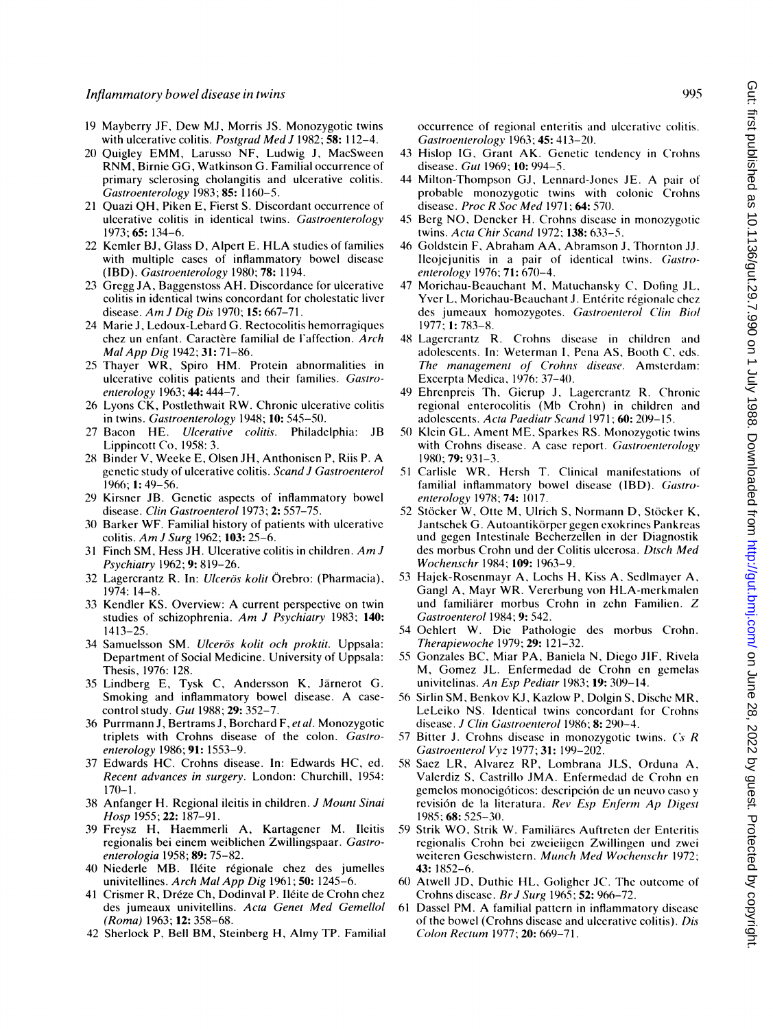- <sup>19</sup> Mayberry JF, Dew MJ, Morris JS. Monozygotic twins with ulcerative colitis. Postgrad Med J 1982; 58: 112-4.
- <sup>20</sup> Quigley EMM, Larusso NF, Ludwig J, MacSween RNM, Birnie GG, Watkinson G. Familial occurrence of primary sclerosing cholangitis and ulcerative colitis. Gastroenterology 1983; 85: 1160-5.
- <sup>21</sup> Quazi OH, Piken E, Fierst S. Discordant occurrence of ulcerative colitis in identical twins. Gastroenterology 1973; 65: 134-6.
- <sup>22</sup> Kemler BJ, Glass D, Alpert E. HLA studies of families with multiple cases of inflammatory bowel disease (IBD). Gastroenterology 1980; 78: 1194.
- 23 Gregg JA, Baggenstoss AH. Discordance for ulcerative colitis in identical twins concordant for cholestatic liver disease. Am J Dig Dis 1970; 15: 667-71.
- 24 Marie J, Ledoux-Lebard G. Rectocolitis hemorragiques chez un enfant. Caractère familial de l'affection. Arch Mal App Dig 1942; 31: 71-86.
- <sup>25</sup> Thayer WR, Spiro HM. Protein abnormalities in ulcerative colitis patients and their families. Gastroenterology 1963; 44: 444-7.
- 26 Lyons CK, Postlethwait RW. Chronic ulcerative colitis in twins. Gastroenterology 1948; 10: 545-50.
- 27 Bacon HE. Ulcerative colitis. Philadelphia: JB Lippincott Co, 1958: 3.
- <sup>28</sup> Binder V, Weeke E, Olsen JH, Anthonisen P, Riis P. A genetic study of ulcerative colitis. Scand J Gastroenterol 1966; 1: 49-56.
- 29 Kirsner JB. Genetic aspects of inflammatory bowel disease. Clin Gastroenterol 1973; 2: 557-75.
- 30 Barker WF. Familial history of patients with ulcerative colitis. Am <sup>J</sup> Surg 1962; 103: 25-6.
- <sup>31</sup> Finch SM, Hess JH. Ulcerative colitis in children. Am <sup>J</sup> Psychiatry 1962; 9: 819-26.
- 32 Lagercrantz R. In: Ulcerös kolit Örebro: (Pharmacia), 1974: 14-8.
- <sup>33</sup> Kendler KS. Overview: A current perspective on twin studies of schizophrenia. Am J Psychiatry 1983; 140: 1413-25.
- 34 Samuelsson SM. Ulcerös kolit och proktit. Uppsala: Department of Social Medicine. University of Uppsala: Thesis, 1976: 128.
- 35 Lindberg E, Tysk C, Andersson K, Jarnerot G. Smoking and inflammatory bowel disease. A casecontrol study. Gut 1988; 29: 352-7.
- 36 Purrmann J, Bertrams J, Borchard F, et al. Monozygotic triplets with Crohns disease of the colon. Gastroenterology 1986; 91: 1553-9.
- 37 Edwards HC. Crohns disease. In: Edwards HC, ed. Recent advances in surgery. London: Churchill, 1954:  $170 - 1$ .
- 38 Anfanger H. Regional ileitis in children. J Mount Sinai Hosp 1955; 22: 187-91.
- 39 Freysz H, Haemmerli A, Kartagener M. Ileitis regionalis bei einem weiblichen Zwillingspaar. Castroenterologia 1958; 89: 75-82.
- 40 Niederle MB. Ileite regionale chez des jumelles univitellines. Arch Mal App Dig 1961; 50: 1245-6.
- 41 Crismer R, Dréze Ch, Dodinval P. Iléite de Crohn chez des jumeaux univitellins. Acta Genet Med Gemellol (Roma) 1963; 12: 358-68.
- 42 Sherlock P, Bell BM, Steinberg H, Almy TP. Familial

occurrence of regional enteritis and ulcerative colitis. Gastroenterology 1963; 45: 413-20.

- 43 Hislop IG, Grant AK. Genetic tendency in Crohns disease. Gut 1969; 10: 994-5.
- <sup>44</sup> Milton-Thompson GJ, Lennard-Jones JE. A pair of probable monozygotic twins with colonic Crohns disease. Proc R Soc Med 1971; **64:** 570.
- 45 Berg NO, Dencker H. Crohns disease in monozygotic twins. Acta Chir Scand 1972; 138: 633-5.
- 46 Goldstein F, Abraham AA, Abramson J, Thornton JJ. Ileojejunitis in a pair of identical twins. Gastroenterology 1976; 71: 670-4.
- 47 Morichau-Beauchant M, Matuchansky C, Dofing JL, Yver L, Morichau-Beauchant J. Entérite régionale chez des jumeaux homozygotes. Gastroenterol Clin Biol 1977; 1: 783-8.
- 48 Lagercrantz R. Crohns disease in children and adolescents. In: Weterman I, Pena AS, Booth C, eds. The management of Crohns disease. Amsterdam: Excerpta Medica, 1976: 37-40.
- 49 Ehrenpreis Th, Gierup J, Lagercrantz R. Chronic regional enterocolitis (Mb Crohn) in children and adolescents. Acta Paediatr Scand 1971; 60: 209-15.
- 50 Klein GL, Ament ME, Sparkes RS. Monozygotic twins with Crohns disease. A case report. Gastroenterology 1980; 79: 931-3.
- <sup>51</sup> Carlisle WR, Hersh T. Clinical manifestations of familial inflammatory bowel disease (IBD). Gastroenterology 1978; 74: 1017.
- 52 Stöcker W, Otte M, Ulrich S, Normann D, Stöcker K, Jantschek G. Autoantikörper gegen exokrines Pankreas und gegen Intestinale Becherzellen in der Diagnostik des morbus Crohn und der Colitis ulcerosa. Dtsch Med Wochenschr 1984; 109: 1963-9.
- 53 Hajek-Rosenmayr A, Lochs H, Kiss A, Sedlmayer A, Gangl A, Mayr WR. Vererbung von HLA-merkmalen und familiarer morbus Crohn in zehn Familien. Z Gastroenterol 1984; 9: 542.
- 54 Oehlert W. Die Pathologie des morbus Crohn. Therapiewoche 1979; 29: 121-32.
- 55 Gonzales BC, Miar PA, Baniela N, Diego JIF, Rivela M, Gomez JL. Enfermedad de Crohn en gemelas univitelinas. An Esp Pediatr 1983; 19: 309-14.
- 56 Sirlin SM, Benkov KJ, Kazlow P, Dolgin S, Dische MR, LeLeiko NS. Identical twins concordant for Crohns disease. J Clin Gastroenterol 1986; 8: 290-4.
- 57 Bitter J. Crohns disease in monozygotic twins.  $Cs$  R Gastroenterol Vvz 1977; 31: 199-202.
- 58 Saez LR, Alvarez RP, Lombrana JLS, Orduna A, Valerdiz S, Castrillo JMA. Enfermedad de Crohn en Valerdiz S, Castrillo JMA. Enfermedad de Crohn en gemelos monocigóticos: descripción de un neuvo caso y revision de la literatura. Rev Esp Enferm Ap Digest 1985; 68: 525-30.
	- 59 Strik WO, Strik W. Familiäres Auftreten der Enteritis regionalis Crohn bei zweieiigen Zwillingen und zwei weiteren Geschwistern. Munch Med Wochenschr 1972; 43: 1852-6.
	- 60 Atwell JD, Duthie HL, Goligher JC. The outcome of Crohns disease. Br J Surg 1965; 52: 966-72.
- <sup>61</sup> Dassel PM. A familial pattern in inflammatory disease of the bowel (Crohns disease and ulcerative colitis). Dis Colon Rectum 1977; 20: 669-71.